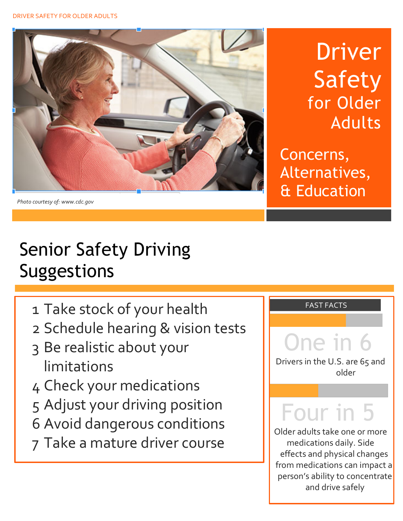

*Photo courtesy of: www.cdc.gov*

**Driver** Safety for Older Adults

Concerns, Alternatives, & Education

## Senior Safety Driving Suggestions

- 1 Take stock of your health
- 2 Schedule hearing & vision tests
- 3 Be realistic about your limitations
- 4 Check your medications
- 5 Adjust your driving position
- 6 Avoid dangerous conditions
- 7 Take a mature driver course

### and Education Present Services<br>The Education of the Education Present Services<br>The Education Present Services

Alternatives,

# One in 6

Drivers in the U.S. are 65 and older

## Four in 5

Older adults take one or more medications daily. Side effects and physical changes from medications can impact a person's ability to concentrate and drive safely